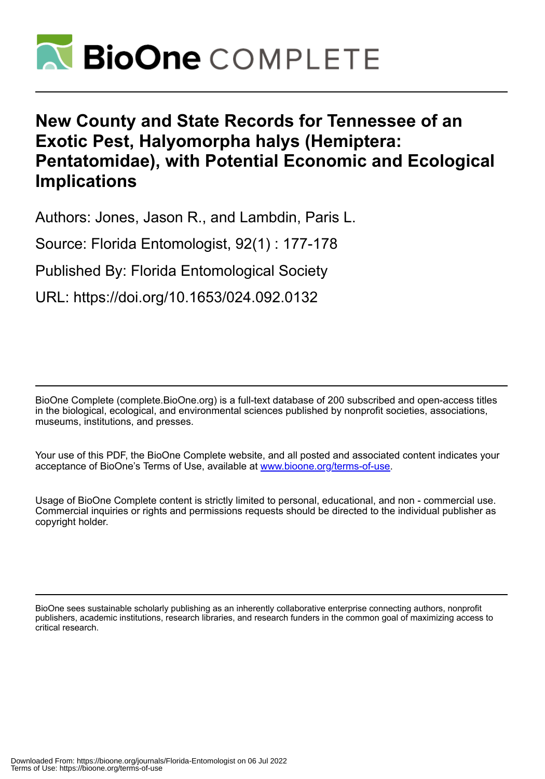

## **New County and State Records for Tennessee of an Exotic Pest, Halyomorpha halys (Hemiptera: Pentatomidae), with Potential Economic and Ecological Implications**

Authors: Jones, Jason R., and Lambdin, Paris L.

Source: Florida Entomologist, 92(1) : 177-178

Published By: Florida Entomological Society

URL: https://doi.org/10.1653/024.092.0132

BioOne Complete (complete.BioOne.org) is a full-text database of 200 subscribed and open-access titles in the biological, ecological, and environmental sciences published by nonprofit societies, associations, museums, institutions, and presses.

Your use of this PDF, the BioOne Complete website, and all posted and associated content indicates your acceptance of BioOne's Terms of Use, available at www.bioone.org/terms-of-use.

Usage of BioOne Complete content is strictly limited to personal, educational, and non - commercial use. Commercial inquiries or rights and permissions requests should be directed to the individual publisher as copyright holder.

BioOne sees sustainable scholarly publishing as an inherently collaborative enterprise connecting authors, nonprofit publishers, academic institutions, research libraries, and research funders in the common goal of maximizing access to critical research.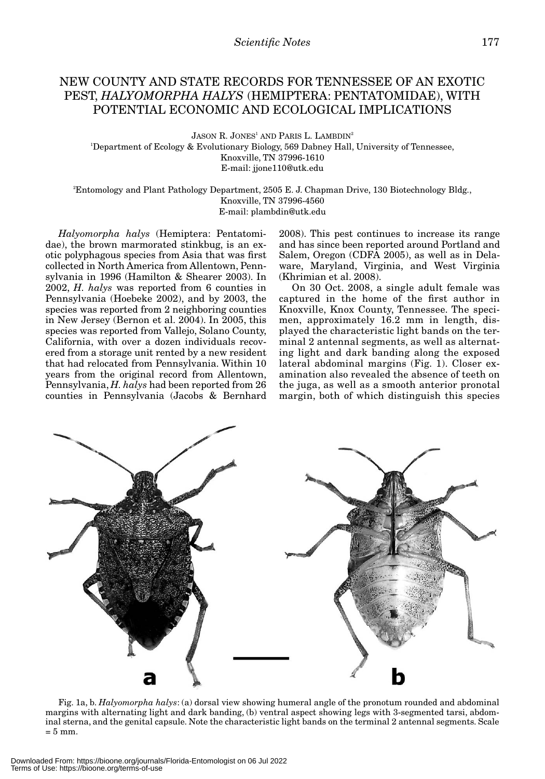## NEW COUNTY AND STATE RECORDS FOR TENNESSEE OF AN EXOTIC PEST, *HALYOMORPHA HALYS* (HEMIPTERA: PENTATOMIDAE), WITH POTENTIAL ECONOMIC AND ECOLOGICAL IMPLICATIONS

JASON R. JONES<sup>1</sup> AND PARIS L. LAMBDIN<sup>2</sup> 1 Department of Ecology & Evolutionary Biology, 569 Dabney Hall, University of Tennessee, Knoxville, TN 37996-1610 E-mail: jjone110@utk.edu

2 Entomology and Plant Pathology Department, 2505 E. J. Chapman Drive, 130 Biotechnology Bldg., Knoxville, TN 37996-4560 E-mail: plambdin@utk.edu

*Halyomorpha halys* (Hemiptera: Pentatomidae), the brown marmorated stinkbug, is an exotic polyphagous species from Asia that was first collected in North America from Allentown, Pennsylvania in 1996 (Hamilton & Shearer 2003). In 2002, *H. halys* was reported from 6 counties in Pennsylvania (Hoebeke 2002), and by 2003, the species was reported from 2 neighboring counties in New Jersey (Bernon et al. 2004). In 2005, this species was reported from Vallejo, Solano County, California, with over a dozen individuals recovered from a storage unit rented by a new resident that had relocated from Pennsylvania. Within 10 years from the original record from Allentown, Pennsylvania, *H. halys* had been reported from 26 counties in Pennsylvania (Jacobs & Bernhard 2008). This pest continues to increase its range and has since been reported around Portland and Salem, Oregon (CDFA 2005), as well as in Delaware, Maryland, Virginia, and West Virginia (Khrimian et al. 2008).

On 30 Oct. 2008, a single adult female was captured in the home of the first author in Knoxville, Knox County, Tennessee. The specimen, approximately 16.2 mm in length, displayed the characteristic light bands on the terminal 2 antennal segments, as well as alternating light and dark banding along the exposed lateral abdominal margins (Fig. 1). Closer examination also revealed the absence of teeth on the juga, as well as a smooth anterior pronotal margin, both of which distinguish this species



Fig. 1a, b. *Halyomorpha halys*: (a) dorsal view showing humeral angle of the pronotum rounded and abdominal margins with alternating light and dark banding, (b) ventral aspect showing legs with 3-segmented tarsi, abdominal sterna, and the genital capsule. Note the characteristic light bands on the terminal 2 antennal segments. Scale  $= 5$  mm.